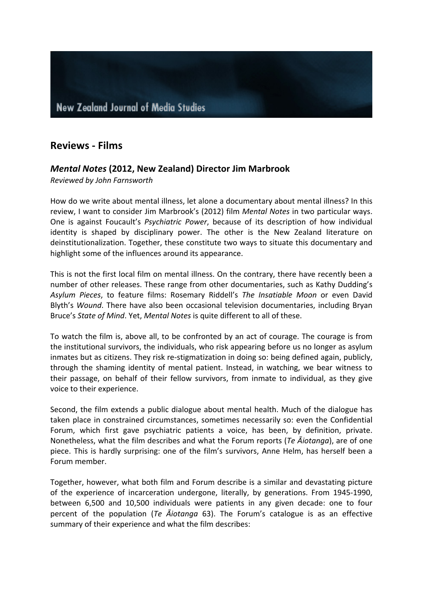## **Reviews - Films**

## *Mental Notes* **(2012, New Zealand) Director Jim Marbrook**

*Reviewed by John Farnsworth*

How do we write about mental illness, let alone a documentary about mental illness? In this review, I want to consider Jim Marbrook's (2012) film *Mental Notes* in two particular ways. One is against Foucault's *Psychiatric Power*, because of its description of how individual identity is shaped by disciplinary power. The other is the New Zealand literature on deinstitutionalization. Together, these constitute two ways to situate this documentary and highlight some of the influences around its appearance.

This is not the first local film on mental illness. On the contrary, there have recently been a number of other releases. These range from other documentaries, such as Kathy Dudding's Asylum Pieces, to feature films: Rosemary Riddell's The Insatiable Moon or even David Blyth's *Wound*. There have also been occasional television documentaries, including Bryan Bruce's *State of Mind*. Yet, *Mental Notes* is quite different to all of these.

To watch the film is, above all, to be confronted by an act of courage. The courage is from the institutional survivors, the individuals, who risk appearing before us no longer as asylum inmates but as citizens. They risk re-stigmatization in doing so: being defined again, publicly, through the shaming identity of mental patient. Instead, in watching, we bear witness to their passage, on behalf of their fellow survivors, from inmate to individual, as they give voice to their experience.

Second, the film extends a public dialogue about mental health. Much of the dialogue has taken place in constrained circumstances, sometimes necessarily so: even the Confidential Forum, which first gave psychiatric patients a voice, has been, by definition, private. Nonetheless, what the film describes and what the Forum reports (*Te Aiotanga*), are of one piece. This is hardly surprising: one of the film's survivors, Anne Helm, has herself been a Forum member.

Together, however, what both film and Forum describe is a similar and devastating picture of the experience of incarceration undergone, literally, by generations. From 1945-1990, between 6,500 and 10,500 individuals were patients in any given decade: one to four percent of the population (*Te Aiotanga* 63). The Forum's catalogue is as an effective summary of their experience and what the film describes: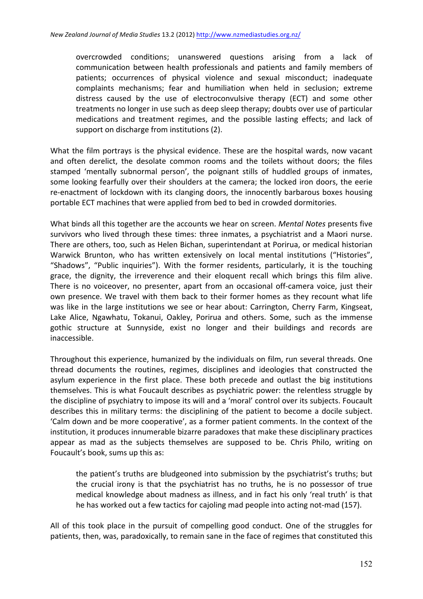overcrowded conditions; unanswered questions arising from a lack of communication between health professionals and patients and family members of patients; occurrences of physical violence and sexual misconduct; inadequate complaints mechanisms; fear and humiliation when held in seclusion; extreme distress caused by the use of electroconvulsive therapy (ECT) and some other treatments no longer in use such as deep sleep therapy; doubts over use of particular medications and treatment regimes, and the possible lasting effects; and lack of support on discharge from institutions (2).

What the film portrays is the physical evidence. These are the hospital wards, now vacant and often derelict, the desolate common rooms and the toilets without doors; the files stamped 'mentally subnormal person', the poignant stills of huddled groups of inmates, some looking fearfully over their shoulders at the camera; the locked iron doors, the eerie re-enactment of lockdown with its clanging doors, the innocently barbarous boxes housing portable ECT machines that were applied from bed to bed in crowded dormitories.

What binds all this together are the accounts we hear on screen. *Mental Notes* presents five survivors who lived through these times: three inmates, a psychiatrist and a Maori nurse. There are others, too, such as Helen Bichan, superintendant at Porirua, or medical historian Warwick Brunton, who has written extensively on local mental institutions ("Histories", "Shadows", "Public inquiries"). With the former residents, particularly, it is the touching grace, the dignity, the irreverence and their eloquent recall which brings this film alive. There is no voiceover, no presenter, apart from an occasional off-camera voice, just their own presence. We travel with them back to their former homes as they recount what life was like in the large institutions we see or hear about: Carrington, Cherry Farm, Kingseat, Lake Alice, Ngawhatu, Tokanui, Oakley, Porirua and others. Some, such as the immense gothic structure at Sunnyside, exist no longer and their buildings and records are inaccessible. 

Throughout this experience, humanized by the individuals on film, run several threads. One thread documents the routines, regimes, disciplines and ideologies that constructed the asylum experience in the first place. These both precede and outlast the big institutions themselves. This is what Foucault describes as psychiatric power: the relentless struggle by the discipline of psychiatry to impose its will and a 'moral' control over its subjects. Foucault describes this in military terms: the disciplining of the patient to become a docile subject. 'Calm down and be more cooperative', as a former patient comments. In the context of the institution, it produces innumerable bizarre paradoxes that make these disciplinary practices appear as mad as the subjects themselves are supposed to be. Chris Philo, writing on Foucault's book, sums up this as:

the patient's truths are bludgeoned into submission by the psychiatrist's truths; but the crucial irony is that the psychiatrist has no truths, he is no possessor of true medical knowledge about madness as illness, and in fact his only 'real truth' is that he has worked out a few tactics for cajoling mad people into acting not-mad (157).

All of this took place in the pursuit of compelling good conduct. One of the struggles for patients, then, was, paradoxically, to remain sane in the face of regimes that constituted this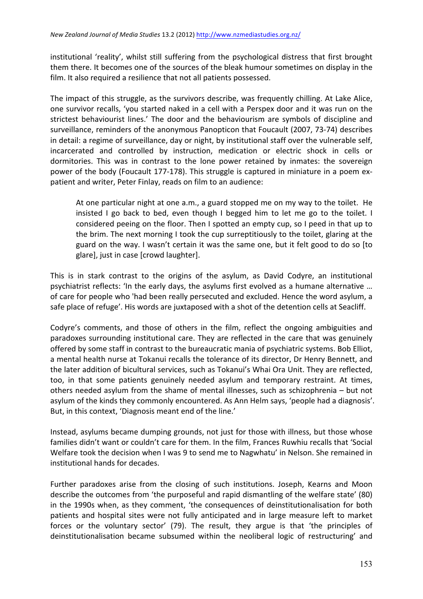institutional 'reality', whilst still suffering from the psychological distress that first brought them there. It becomes one of the sources of the bleak humour sometimes on display in the film. It also required a resilience that not all patients possessed.

The impact of this struggle, as the survivors describe, was frequently chilling. At Lake Alice, one survivor recalls, 'you started naked in a cell with a Perspex door and it was run on the strictest behaviourist lines.' The door and the behaviourism are symbols of discipline and surveillance, reminders of the anonymous Panopticon that Foucault (2007, 73-74) describes in detail: a regime of surveillance, day or night, by institutional staff over the vulnerable self, incarcerated and controlled by instruction, medication or electric shock in cells or dormitories. This was in contrast to the lone power retained by inmates: the sovereign power of the body (Foucault 177-178). This struggle is captured in miniature in a poem expatient and writer, Peter Finlay, reads on film to an audience:

At one particular night at one  $a.m.$ , a guard stopped me on my way to the toilet. He insisted I go back to bed, even though I begged him to let me go to the toilet. I considered peeing on the floor. Then I spotted an empty cup, so I peed in that up to the brim. The next morning I took the cup surreptitiously to the toilet, glaring at the guard on the way. I wasn't certain it was the same one, but it felt good to do so [to glare], just in case [crowd laughter].

This is in stark contrast to the origins of the asylum, as David Codyre, an institutional psychiatrist reflects: 'In the early days, the asylums first evolved as a humane alternative ... of care for people who 'had been really persecuted and excluded. Hence the word asylum, a safe place of refuge'. His words are juxtaposed with a shot of the detention cells at Seacliff.

Codyre's comments, and those of others in the film, reflect the ongoing ambiguities and paradoxes surrounding institutional care. They are reflected in the care that was genuinely offered by some staff in contrast to the bureaucratic mania of psychiatric systems. Bob Elliot, a mental health nurse at Tokanui recalls the tolerance of its director, Dr Henry Bennett, and the later addition of bicultural services, such as Tokanui's Whai Ora Unit. They are reflected, too, in that some patients genuinely needed asylum and temporary restraint. At times, others needed asylum from the shame of mental illnesses, such as schizophrenia  $-$  but not asylum of the kinds they commonly encountered. As Ann Helm says, 'people had a diagnosis'. But, in this context, 'Diagnosis meant end of the line.'

Instead, asylums became dumping grounds, not just for those with illness, but those whose families didn't want or couldn't care for them. In the film, Frances Ruwhiu recalls that 'Social Welfare took the decision when I was 9 to send me to Nagwhatu' in Nelson. She remained in institutional hands for decades.

Further paradoxes arise from the closing of such institutions. Joseph, Kearns and Moon describe the outcomes from 'the purposeful and rapid dismantling of the welfare state' (80) in the 1990s when, as they comment, 'the consequences of deinstitutionalisation for both patients and hospital sites were not fully anticipated and in large measure left to market forces or the voluntary sector' (79). The result, they argue is that 'the principles of deinstitutionalisation became subsumed within the neoliberal logic of restructuring' and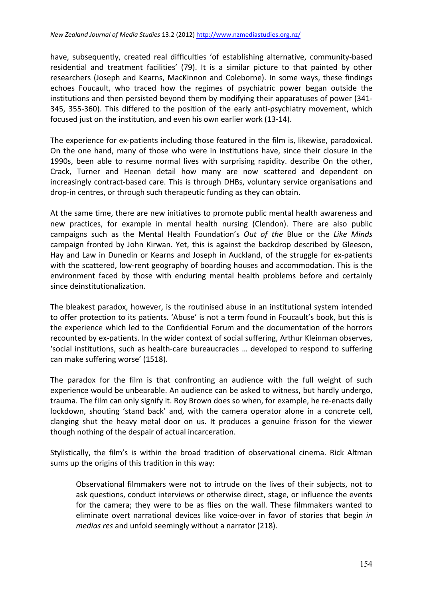have, subsequently, created real difficulties 'of establishing alternative, community-based residential and treatment facilities' (79). It is a similar picture to that painted by other researchers (Joseph and Kearns, MacKinnon and Coleborne). In some ways, these findings echoes Foucault, who traced how the regimes of psychiatric power began outside the institutions and then persisted beyond them by modifying their apparatuses of power (341-345, 355-360). This differed to the position of the early anti-psychiatry movement, which focused just on the institution, and even his own earlier work (13-14).

The experience for ex-patients including those featured in the film is, likewise, paradoxical. On the one hand, many of those who were in institutions have, since their closure in the 1990s, been able to resume normal lives with surprising rapidity. describe On the other, Crack, Turner and Heenan detail how many are now scattered and dependent on increasingly contract-based care. This is through DHBs, voluntary service organisations and drop-in centres, or through such therapeutic funding as they can obtain.

At the same time, there are new initiatives to promote public mental health awareness and new practices, for example in mental health nursing (Clendon). There are also public campaigns such as the Mental Health Foundation's *Out of the Blue or the Like Minds* campaign fronted by John Kirwan. Yet, this is against the backdrop described by Gleeson, Hay and Law in Dunedin or Kearns and Joseph in Auckland, of the struggle for ex-patients with the scattered, low-rent geography of boarding houses and accommodation. This is the environment faced by those with enduring mental health problems before and certainly since deinstitutionalization.

The bleakest paradox, however, is the routinised abuse in an institutional system intended to offer protection to its patients. 'Abuse' is not a term found in Foucault's book, but this is the experience which led to the Confidential Forum and the documentation of the horrors recounted by ex-patients. In the wider context of social suffering, Arthur Kleinman observes, 'social institutions, such as health-care bureaucracies ... developed to respond to suffering can make suffering worse' (1518).

The paradox for the film is that confronting an audience with the full weight of such experience would be unbearable. An audience can be asked to witness, but hardly undergo, trauma. The film can only signify it. Roy Brown does so when, for example, he re-enacts daily lockdown, shouting 'stand back' and, with the camera operator alone in a concrete cell, clanging shut the heavy metal door on us. It produces a genuine frisson for the viewer though nothing of the despair of actual incarceration.

Stylistically, the film's is within the broad tradition of observational cinema. Rick Altman sums up the origins of this tradition in this way:

Observational filmmakers were not to intrude on the lives of their subjects, not to ask questions, conduct interviews or otherwise direct, stage, or influence the events for the camera; they were to be as flies on the wall. These filmmakers wanted to eliminate overt narrational devices like voice-over in favor of stories that begin *in medias res* and unfold seemingly without a narrator (218).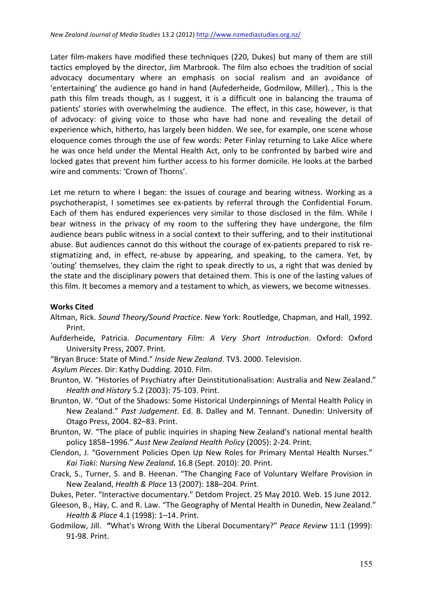Later film-makers have modified these techniques (220, Dukes) but many of them are still tactics employed by the director, Jim Marbrook. The film also echoes the tradition of social advocacy documentary where an emphasis on social realism and an avoidance of 'entertaining' the audience go hand in hand (Aufederheide, Godmilow, Miller)., This is the path this film treads though, as I suggest, it is a difficult one in balancing the trauma of patients' stories with overwhelming the audience. The effect, in this case, however, is that of advocacy: of giving voice to those who have had none and revealing the detail of experience which, hitherto, has largely been hidden. We see, for example, one scene whose eloquence comes through the use of few words: Peter Finlay returning to Lake Alice where he was once held under the Mental Health Act, only to be confronted by barbed wire and locked gates that prevent him further access to his former domicile. He looks at the barbed wire and comments: 'Crown of Thorns'.

Let me return to where I began: the issues of courage and bearing witness. Working as a psychotherapist, I sometimes see ex-patients by referral through the Confidential Forum. Each of them has endured experiences very similar to those disclosed in the film. While I bear witness in the privacy of my room to the suffering they have undergone, the film audience bears public witness in a social context to their suffering, and to their institutional abuse. But audiences cannot do this without the courage of ex-patients prepared to risk restigmatizing and, in effect, re-abuse by appearing, and speaking, to the camera. Yet, by 'outing' themselves, they claim the right to speak directly to us, a right that was denied by the state and the disciplinary powers that detained them. This is one of the lasting values of this film. It becomes a memory and a testament to which, as viewers, we become witnesses.

#### **Works Cited**

- Altman, Rick. *Sound Theory/Sound Practice*. New York: Routledge, Chapman, and Hall, 1992. Print.
- Aufderheide, Patricia. *Documentary Film: A Very Short Introduction*. Oxford: Oxford University Press, 2007. Print.
- "Bryan Bruce: State of Mind." Inside New Zealand. TV3. 2000. Television.

*Asylum Pieces*. Dir: Kathy Dudding. 2010. Film.

- Brunton, W. "Histories of Psychiatry after Deinstitutionalisation: Australia and New Zealand." *Health and History* 5.2 (2003): 75-103. Print.
- Brunton, W. "Out of the Shadows: Some Historical Underpinnings of Mental Health Policy in New Zealand." Past Judgement. Ed. B. Dalley and M. Tennant. Dunedin: University of Otago Press, 2004. 82–83. Print.
- Brunton, W. "The place of public inquiries in shaping New Zealand's national mental health policy 1858–1996." *Aust New Zealand Health Policy* (2005): 2-24. Print.
- Clendon, J. "Government Policies Open Up New Roles for Primary Mental Health Nurses." *Kai Tiaki: Nursing New Zealand.* 16.8 (Sept. 2010): 20. Print.
- Crack, S., Turner, S. and B. Heenan. "The Changing Face of Voluntary Welfare Provision in New Zealand, *Health & Place* 13 (2007): 188-204. Print.
- Dukes, Peter. "Interactive documentary." Detdom Project. 25 May 2010. Web. 15 June 2012.
- Gleeson, B., Hay, C. and R. Law. "The Geography of Mental Health in Dunedin, New Zealand." *Health & Place* 4.1 (1998): 1-14. Print.
- Godmilow, Jill. "What's Wrong With the Liberal Documentary?" Peace Review 11:1 (1999): 91-98. Print.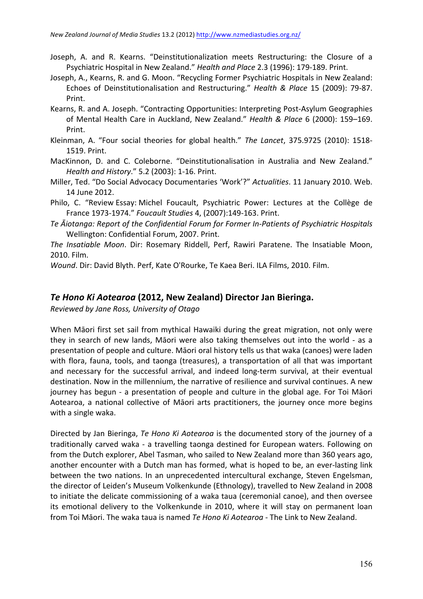- Joseph, A. and R. Kearns. "Deinstitutionalization meets Restructuring: the Closure of a Psychiatric Hospital in New Zealand." *Health and Place* 2.3 (1996): 179-189. Print.
- Joseph, A., Kearns, R. and G. Moon. "Recycling Former Psychiatric Hospitals in New Zealand: Echoes of Deinstitutionalisation and Restructuring." *Health & Place* 15 (2009): 79-87. Print.
- Kearns, R. and A. Joseph. "Contracting Opportunities: Interpreting Post-Asylum Geographies of Mental Health Care in Auckland, New Zealand." *Health & Place* 6 (2000): 159-169. Print.
- Kleinman, A. "Four social theories for global health." *The Lancet*, 375.9725 (2010): 1518-1519. Print.
- MacKinnon, D. and C. Coleborne. "Deinstitutionalisation in Australia and New Zealand." *Health and History*." 5.2 (2003): 1-16. Print.
- Miller, Ted. "Do Social Advocacy Documentaries 'Work'?" Actualities. 11 January 2010. Web. 14 June 2012.
- Philo, C. "Review Essay: Michel Foucault, Psychiatric Power: Lectures at the Collège de France 1973-1974." *Foucault Studies* 4, (2007):149-163. Print.
- Te  $\bar{A}$ *iotanga: Report of the Confidential Forum for Former In-Patients of Psychiatric Hospitals* Wellington: Confidential Forum, 2007. Print.

*The Insatiable Moon*. Dir: Rosemary Riddell, Perf, Rawiri Paratene. The Insatiable Moon, 2010. Film.

*Wound*. Dir: David Blyth. Perf, Kate O'Rourke, Te Kaea Beri. ILA Films, 2010. Film.

## *Te Hono Ki Aotearoa* **(2012, New Zealand) Director Jan Bieringa.**

*Reviewed by Jane Ross, University of Otago*

When Māori first set sail from mythical Hawaiki during the great migration, not only were they in search of new lands, Māori were also taking themselves out into the world - as a presentation of people and culture. Māori oral history tells us that waka (canoes) were laden with flora, fauna, tools, and taonga (treasures), a transportation of all that was important and necessary for the successful arrival, and indeed long-term survival, at their eventual destination. Now in the millennium, the narrative of resilience and survival continues. A new journey has begun - a presentation of people and culture in the global age. For Toi Māori Aotearoa, a national collective of Māori arts practitioners, the journey once more begins with a single waka.

Directed by Jan Bieringa, *Te Hono Ki Aotearoa* is the documented story of the journey of a traditionally carved waka - a travelling taonga destined for European waters. Following on from the Dutch explorer, Abel Tasman, who sailed to New Zealand more than 360 years ago, another encounter with a Dutch man has formed, what is hoped to be, an ever-lasting link between the two nations. In an unprecedented intercultural exchange, Steven Engelsman, the director of Leiden's Museum Volkenkunde (Ethnology), travelled to New Zealand in 2008 to initiate the delicate commissioning of a waka taua (ceremonial canoe), and then oversee its emotional delivery to the Volkenkunde in 2010, where it will stay on permanent loan from Toi Māori. The waka taua is named Te Hono Ki Aotearoa - The Link to New Zealand.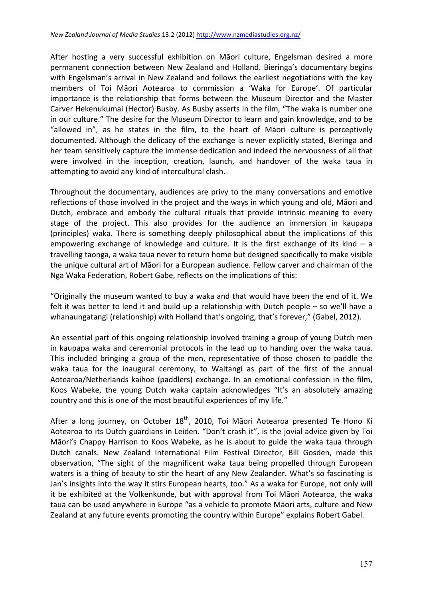After hosting a very successful exhibition on Māori culture, Engelsman desired a more permanent connection between New Zealand and Holland. Bieringa's documentary begins with Engelsman's arrival in New Zealand and follows the earliest negotiations with the key members of Toi Māori Aotearoa to commission a 'Waka for Europe'. Of particular importance is the relationship that forms between the Museum Director and the Master Carver Hekenukumai (Hector) Busby. As Busby asserts in the film, "The waka is number one in our culture." The desire for the Museum Director to learn and gain knowledge, and to be "allowed in", as he states in the film, to the heart of Māori culture is perceptively documented. Although the delicacy of the exchange is never explicitly stated, Bieringa and her team sensitively capture the immense dedication and indeed the nervousness of all that were involved in the inception, creation, launch, and handover of the waka taua in attempting to avoid any kind of intercultural clash.

Throughout the documentary, audiences are privy to the many conversations and emotive reflections of those involved in the project and the ways in which young and old, Māori and Dutch, embrace and embody the cultural rituals that provide intrinsic meaning to every stage of the project. This also provides for the audience an immersion in kaupapa (principles) waka. There is something deeply philosophical about the implications of this empowering exchange of knowledge and culture. It is the first exchange of its kind  $-$  a travelling taonga, a waka taua never to return home but designed specifically to make visible the unique cultural art of Māori for a European audience. Fellow carver and chairman of the Nga Waka Federation, Robert Gabe, reflects on the implications of this:

"Originally the museum wanted to buy a waka and that would have been the end of it. We felt it was better to lend it and build up a relationship with Dutch people  $-$  so we'll have a whanaungatangi (relationship) with Holland that's ongoing, that's forever," (Gabel, 2012).

An essential part of this ongoing relationship involved training a group of young Dutch men in kaupapa waka and ceremonial protocols in the lead up to handing over the waka taua. This included bringing a group of the men, representative of those chosen to paddle the waka taua for the inaugural ceremony, to Waitangi as part of the first of the annual Aotearoa/Netherlands kaihoe (paddlers) exchange. In an emotional confession in the film, Koos Wabeke, the young Dutch waka captain acknowledges "It's an absolutely amazing country and this is one of the most beautiful experiences of my life."

After a long journey, on October  $18^{th}$ , 2010, Toi Māori Aotearoa presented Te Hono Ki Aotearoa to its Dutch guardians in Leiden. "Don't crash it", is the jovial advice given by Toi Māori's Chappy Harrison to Koos Wabeke, as he is about to guide the waka taua through Dutch canals. New Zealand International Film Festival Director, Bill Gosden, made this observation, "The sight of the magnificent waka taua being propelled through European waters is a thing of beauty to stir the heart of any New Zealander. What's so fascinating is Jan's insights into the way it stirs European hearts, too." As a waka for Europe, not only will it be exhibited at the Volkenkunde, but with approval from Toi Māori Aotearoa, the waka taua can be used anywhere in Europe "as a vehicle to promote Māori arts, culture and New Zealand at any future events promoting the country within Europe" explains Robert Gabel.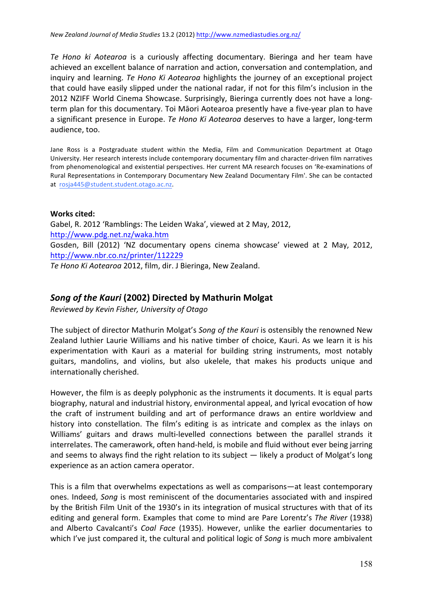Te Hono ki Aotearoa is a curiously affecting documentary. Bieringa and her team have achieved an excellent balance of narration and action, conversation and contemplation, and inquiry and learning. *Te Hono Ki Aotearoa* highlights the journey of an exceptional project that could have easily slipped under the national radar, if not for this film's inclusion in the 2012 NZIFF World Cinema Showcase. Surprisingly, Bieringa currently does not have a longterm plan for this documentary. Toi Māori Aotearoa presently have a five-year plan to have a significant presence in Europe. *Te Hono Ki Aotearoa* deserves to have a larger, long-term audience, too.

Jane Ross is a Postgraduate student within the Media, Film and Communication Department at Otago University. Her research interests include contemporary documentary film and character-driven film narratives from phenomenological and existential perspectives. Her current MA research focuses on 'Re-examinations of Rural Representations in Contemporary Documentary New Zealand Documentary Film'. She can be contacted at rosja445@student.student.otago.ac.nz.

#### **Works cited:**

Gabel, R. 2012 'Ramblings: The Leiden Waka', viewed at 2 May, 2012, http://www.pdg.net.nz/waka.htm Gosden, Bill (2012) 'NZ documentary opens cinema showcase' viewed at 2 May, 2012, http://www.nbr.co.nz/printer/112229

*Te Hono Ki Aotearoa* 2012, film, dir. J Bieringa, New Zealand.

## *Song of the Kauri* **(2002) Directed by Mathurin Molgat**

*Reviewed by Kevin Fisher, University of Otago*

The subject of director Mathurin Molgat's Song of the Kauri is ostensibly the renowned New Zealand luthier Laurie Williams and his native timber of choice. Kauri. As we learn it is his experimentation with Kauri as a material for building string instruments, most notably guitars, mandolins, and violins, but also ukelele, that makes his products unique and internationally cherished.

However, the film is as deeply polyphonic as the instruments it documents. It is equal parts biography, natural and industrial history, environmental appeal, and lyrical evocation of how the craft of instrument building and art of performance draws an entire worldview and history into constellation. The film's editing is as intricate and complex as the inlays on Williams' guitars and draws multi-levelled connections between the parallel strands it interrelates. The camerawork, often hand-held, is mobile and fluid without ever being jarring and seems to always find the right relation to its subject  $-$  likely a product of Molgat's long experience as an action camera operator.

This is a film that overwhelms expectations as well as comparisons—at least contemporary ones. Indeed, *Song* is most reminiscent of the documentaries associated with and inspired by the British Film Unit of the 1930's in its integration of musical structures with that of its editing and general form. Examples that come to mind are Pare Lorentz's *The River* (1938) and Alberto Cavalcanti's *Coal Face* (1935). However, unlike the earlier documentaries to which I've just compared it, the cultural and political logic of *Song* is much more ambivalent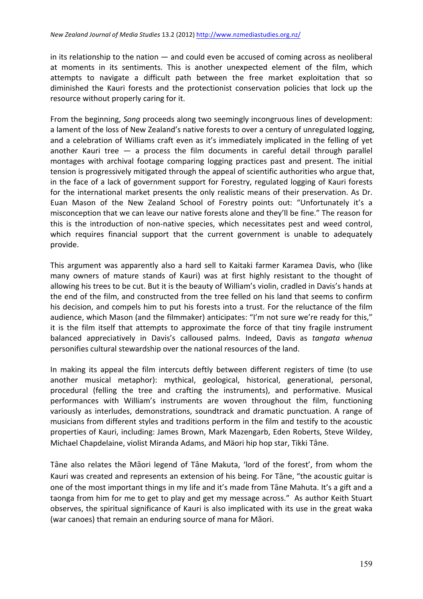in its relationship to the nation  $-$  and could even be accused of coming across as neoliberal at moments in its sentiments. This is another unexpected element of the film, which attempts to navigate a difficult path between the free market exploitation that so diminished the Kauri forests and the protectionist conservation policies that lock up the resource without properly caring for it.

From the beginning, *Song* proceeds along two seemingly incongruous lines of development: a lament of the loss of New Zealand's native forests to over a century of unregulated logging, and a celebration of Williams craft even as it's immediately implicated in the felling of yet another Kauri tree  $-$  a process the film documents in careful detail through parallel montages with archival footage comparing logging practices past and present. The initial tension is progressively mitigated through the appeal of scientific authorities who argue that, in the face of a lack of government support for Forestry, regulated logging of Kauri forests for the international market presents the only realistic means of their preservation. As Dr. Euan Mason of the New Zealand School of Forestry points out: "Unfortunately it's a misconception that we can leave our native forests alone and they'll be fine." The reason for this is the introduction of non-native species, which necessitates pest and weed control, which requires financial support that the current government is unable to adequately provide. 

This argument was apparently also a hard sell to Kaitaki farmer Karamea Davis, who (like many owners of mature stands of Kauri) was at first highly resistant to the thought of allowing his trees to be cut. But it is the beauty of William's violin, cradled in Davis's hands at the end of the film, and constructed from the tree felled on his land that seems to confirm his decision, and compels him to put his forests into a trust. For the reluctance of the film audience, which Mason (and the filmmaker) anticipates: "I'm not sure we're ready for this," it is the film itself that attempts to approximate the force of that tiny fragile instrument balanced appreciatively in Davis's calloused palms. Indeed, Davis as *tangata whenua* personifies cultural stewardship over the national resources of the land.

In making its appeal the film intercuts deftly between different registers of time (to use another musical metaphor): mythical, geological, historical, generational, personal, procedural (felling the tree and crafting the instruments), and performative. Musical performances with William's instruments are woven throughout the film, functioning variously as interludes, demonstrations, soundtrack and dramatic punctuation. A range of musicians from different styles and traditions perform in the film and testify to the acoustic properties of Kauri, including: James Brown, Mark Mazengarb, Eden Roberts, Steve Wildey, Michael Chapdelaine, violist Miranda Adams, and Mäori hip hop star, Tikki Tāne.

Tāne also relates the Māori legend of Tāne Makuta, 'lord of the forest', from whom the Kauri was created and represents an extension of his being. For Tane, "the acoustic guitar is one of the most important things in my life and it's made from Tane Mahuta. It's a gift and a taonga from him for me to get to play and get my message across." As author Keith Stuart observes, the spiritual significance of Kauri is also implicated with its use in the great waka (war canoes) that remain an enduring source of mana for Māori.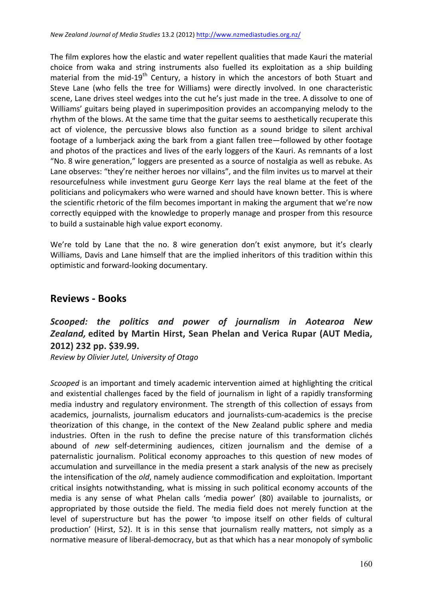The film explores how the elastic and water repellent qualities that made Kauri the material choice from waka and string instruments also fuelled its exploitation as a ship building material from the mid-19<sup>th</sup> Century, a history in which the ancestors of both Stuart and Steve Lane (who fells the tree for Williams) were directly involved. In one characteristic scene, Lane drives steel wedges into the cut he's just made in the tree. A dissolve to one of Williams' guitars being played in superimposition provides an accompanying melody to the rhythm of the blows. At the same time that the guitar seems to aesthetically recuperate this act of violence, the percussive blows also function as a sound bridge to silent archival footage of a lumberjack axing the bark from a giant fallen tree—followed by other footage and photos of the practices and lives of the early loggers of the Kauri. As remnants of a lost "No. 8 wire generation," loggers are presented as a source of nostalgia as well as rebuke. As Lane observes: "they're neither heroes nor villains", and the film invites us to marvel at their resourcefulness while investment guru George Kerr lays the real blame at the feet of the politicians and policymakers who were warned and should have known better. This is where the scientific rhetoric of the film becomes important in making the argument that we're now correctly equipped with the knowledge to properly manage and prosper from this resource to build a sustainable high value export economy.

We're told by Lane that the no. 8 wire generation don't exist anymore, but it's clearly Williams, Davis and Lane himself that are the implied inheritors of this tradition within this optimistic and forward-looking documentary.

# **Reviews - Books**

# *Scooped: the politics and power of journalism in Aotearoa New Zealand,* **edited by Martin Hirst, Sean Phelan and Verica Rupar (AUT Media, 2012) 232 pp. \$39.99.**

*Review by Olivier Jutel, University of Otago*

*Scooped* is an important and timely academic intervention aimed at highlighting the critical and existential challenges faced by the field of journalism in light of a rapidly transforming media industry and regulatory environment. The strength of this collection of essays from academics, journalists, journalism educators and journalists-cum-academics is the precise theorization of this change, in the context of the New Zealand public sphere and media industries. Often in the rush to define the precise nature of this transformation clichés abound of *new* self-determining audiences, citizen journalism and the demise of a paternalistic journalism. Political economy approaches to this question of new modes of accumulation and surveillance in the media present a stark analysis of the new as precisely the intensification of the *old*, namely audience commodification and exploitation. Important critical insights notwithstanding, what is missing in such political economy accounts of the media is any sense of what Phelan calls 'media power' (80) available to journalists, or appropriated by those outside the field. The media field does not merely function at the level of superstructure but has the power 'to impose itself on other fields of cultural production' (Hirst, 52). It is in this sense that journalism really matters, not simply as a normative measure of liberal-democracy, but as that which has a near monopoly of symbolic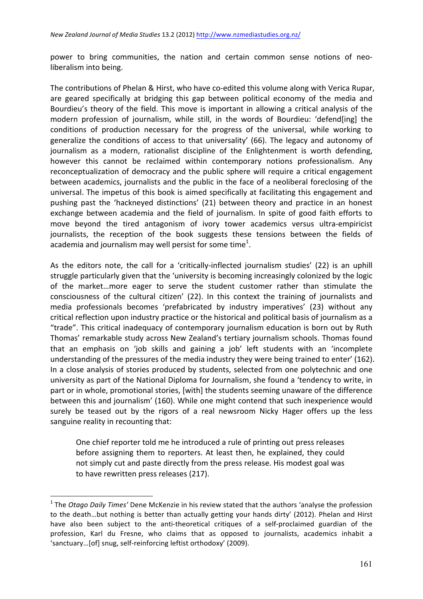power to bring communities, the nation and certain common sense notions of neoliberalism into being.

The contributions of Phelan & Hirst, who have co-edited this volume along with Verica Rupar, are geared specifically at bridging this gap between political economy of the media and Bourdieu's theory of the field. This move is important in allowing a critical analysis of the modern profession of journalism, while still, in the words of Bourdieu: 'defend[ing] the conditions of production necessary for the progress of the universal, while working to generalize the conditions of access to that universality' (66). The legacy and autonomy of journalism as a modern, rationalist discipline of the Enlightenment is worth defending, however this cannot be reclaimed within contemporary notions professionalism. Any reconceptualization of democracy and the public sphere will require a critical engagement between academics, journalists and the public in the face of a neoliberal foreclosing of the universal. The impetus of this book is aimed specifically at facilitating this engagement and pushing past the 'hackneyed distinctions' (21) between theory and practice in an honest exchange between academia and the field of journalism. In spite of good faith efforts to move beyond the tired antagonism of ivory tower academics versus ultra-empiricist journalists, the reception of the book suggests these tensions between the fields of academia and journalism may well persist for some time<sup>1</sup>.

As the editors note, the call for a 'critically-inflected journalism studies' (22) is an uphill struggle particularly given that the 'university is becoming increasingly colonized by the logic of the market...more eager to serve the student customer rather than stimulate the consciousness of the cultural citizen' (22). In this context the training of journalists and media professionals becomes 'prefabricated by industry imperatives' (23) without any critical reflection upon industry practice or the historical and political basis of journalism as a "trade". This critical inadequacy of contemporary journalism education is born out by Ruth Thomas' remarkable study across New Zealand's tertiary journalism schools. Thomas found that an emphasis on 'job skills and gaining a job' left students with an 'incomplete understanding of the pressures of the media industry they were being trained to enter' (162). In a close analysis of stories produced by students, selected from one polytechnic and one university as part of the National Diploma for Journalism, she found a 'tendency to write, in part or in whole, promotional stories, [with] the students seeming unaware of the difference between this and journalism' (160). While one might contend that such inexperience would surely be teased out by the rigors of a real newsroom Nicky Hager offers up the less sanguine reality in recounting that:

One chief reporter told me he introduced a rule of printing out press releases before assigning them to reporters. At least then, he explained, they could not simply cut and paste directly from the press release. His modest goal was to have rewritten press releases (217).

 $\overline{a}$ 

<sup>&</sup>lt;sup>1</sup> The *Otago Daily Times'* Dene McKenzie in his review stated that the authors 'analyse the profession to the death...but nothing is better than actually getting your hands dirty' (2012). Phelan and Hirst have also been subject to the anti-theoretical critiques of a self-proclaimed guardian of the profession, Karl du Fresne, who claims that as opposed to journalists, academics inhabit a 'sanctuary...[of] snug, self-reinforcing leftist orthodoxy' (2009).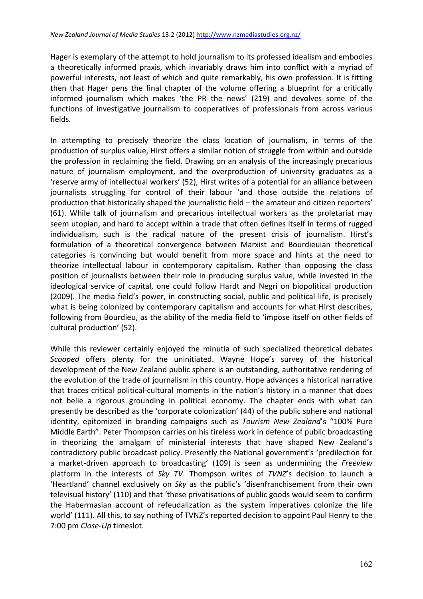Hager is exemplary of the attempt to hold journalism to its professed idealism and embodies a theoretically informed praxis, which invariably draws him into conflict with a myriad of powerful interests, not least of which and quite remarkably, his own profession. It is fitting then that Hager pens the final chapter of the volume offering a blueprint for a critically informed journalism which makes 'the PR the news' (219) and devolves some of the functions of investigative journalism to cooperatives of professionals from across various fields. 

In attempting to precisely theorize the class location of journalism, in terms of the production of surplus value, Hirst offers a similar notion of struggle from within and outside the profession in reclaiming the field. Drawing on an analysis of the increasingly precarious nature of journalism employment, and the overproduction of university graduates as a 'reserve army of intellectual workers' (52), Hirst writes of a potential for an alliance between journalists struggling for control of their labour 'and those outside the relations of production that historically shaped the journalistic field – the amateur and citizen reporters' (61). While talk of journalism and precarious intellectual workers as the proletariat may seem utopian, and hard to accept within a trade that often defines itself in terms of rugged individualism, such is the radical nature of the present crisis of journalism. Hirst's formulation of a theoretical convergence between Marxist and Bourdieuian theoretical categories is convincing but would benefit from more space and hints at the need to theorize intellectual labour in contemporary capitalism. Rather than opposing the class position of journalists between their role in producing surplus value, while invested in the ideological service of capital, one could follow Hardt and Negri on biopolitical production (2009). The media field's power, in constructing social, public and political life, is precisely what is being colonized by contemporary capitalism and accounts for what Hirst describes, following from Bourdieu, as the ability of the media field to 'impose itself on other fields of cultural production' (52).

While this reviewer certainly enjoyed the minutia of such specialized theoretical debates Scooped offers plenty for the uninitiated. Wayne Hope's survey of the historical development of the New Zealand public sphere is an outstanding, authoritative rendering of the evolution of the trade of journalism in this country. Hope advances a historical narrative that traces critical political-cultural moments in the nation's history in a manner that does not belie a rigorous grounding in political economy. The chapter ends with what can presently be described as the 'corporate colonization' (44) of the public sphere and national identity, epitomized in branding campaigns such as *Tourism New Zealand's* "100% Pure Middle Earth". Peter Thompson carries on his tireless work in defence of public broadcasting in theorizing the amalgam of ministerial interests that have shaped New Zealand's contradictory public broadcast policy. Presently the National government's 'predilection for a market-driven approach to broadcasting' (109) is seen as undermining the Freeview platform in the interests of *Sky TV*. Thompson writes of *TVNZ*'s decision to launch a 'Heartland' channel exclusively on *Sky* as the public's 'disenfranchisement from their own televisual history' (110) and that 'these privatisations of public goods would seem to confirm the Habermasian account of refeudalization as the system imperatives colonize the life world' (111). All this, to say nothing of TVNZ's reported decision to appoint Paul Henry to the 7:00 pm *Close-Up* timeslot.